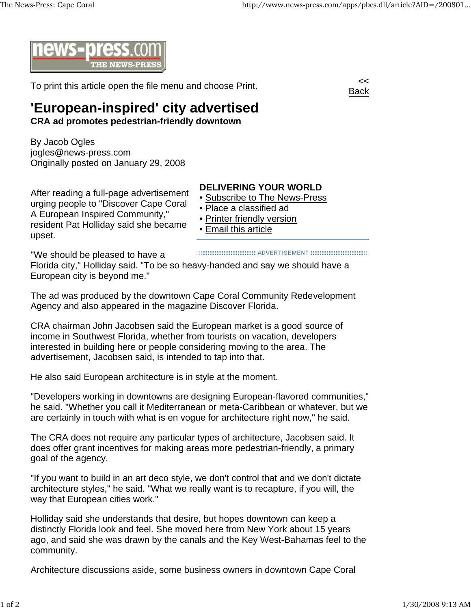

To print this article open the file menu and choose Print.



## **'European-inspired' city advertised**

**CRA ad promotes pedestrian-friendly downtown**

By Jacob Ogles jogles@news-press.com Originally posted on January 29, 2008

After reading a full-page advertisement urging people to "Discover Cape Coral A European Inspired Community," resident Pat Holliday said she became upset.

## **DELIVERING YOUR WORLD**

- Subscribe to The News-Press
- Place a classified ad
- Printer friendly version
- Email this article

"We should be pleased to have a

Florida city," Holliday said. "To be so heavy-handed and say we should have a European city is beyond me."

The ad was produced by the downtown Cape Coral Community Redevelopment Agency and also appeared in the magazine Discover Florida.

CRA chairman John Jacobsen said the European market is a good source of income in Southwest Florida, whether from tourists on vacation, developers interested in building here or people considering moving to the area. The advertisement, Jacobsen said, is intended to tap into that.

He also said European architecture is in style at the moment.

"Developers working in downtowns are designing European-flavored communities," he said. "Whether you call it Mediterranean or meta-Caribbean or whatever, but we are certainly in touch with what is en vogue for architecture right now," he said.

The CRA does not require any particular types of architecture, Jacobsen said. It does offer grant incentives for making areas more pedestrian-friendly, a primary goal of the agency.

"If you want to build in an art deco style, we don't control that and we don't dictate architecture styles," he said. "What we really want is to recapture, if you will, the way that European cities work."

Holliday said she understands that desire, but hopes downtown can keep a distinctly Florida look and feel. She moved here from New York about 15 years ago, and said she was drawn by the canals and the Key West-Bahamas feel to the community.

Architecture discussions aside, some business owners in downtown Cape Coral